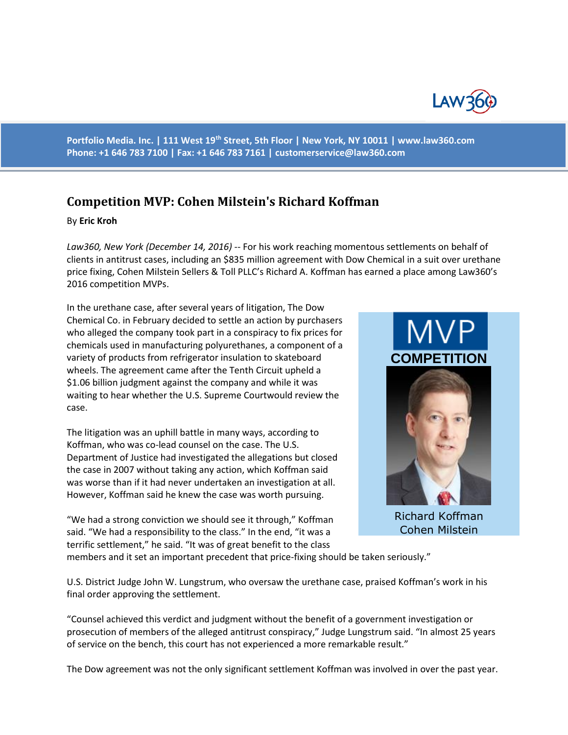

**Portfolio Media. Inc. | 111 West 19th Street, 5th Floor | New York, NY 10011 | www.law360.com Phone: +1 646 783 7100 | Fax: +1 646 783 7161 | [customerservice@law360.com](mailto:customerservice@law360.com)**

## **Competition MVP: Cohen Milstein's Richard Koffman**

## By **Eric Kroh**

*Law360, New York (December 14, 2016)* -- For his work reaching momentous settlements on behalf of clients in antitrust cases, including an \$835 million agreement with Dow Chemical in a suit over urethane price fixing, Cohen Milstein Sellers & Toll PLLC's Richard A. Koffman has earned a place among Law360's 2016 competition MVPs.

In the urethane case, after several years of litigation, The Dow Chemical Co. in February decided to settle an action by purchasers who alleged the company took part in a conspiracy to fix prices for chemicals used in manufacturing polyurethanes, a component of a variety of products from refrigerator insulation to skateboard wheels. The agreement came after the Tenth Circuit upheld a \$1.06 billion judgment against the company and while it was waiting to hear whether the U.S. Supreme Courtwould review the case.

The litigation was an uphill battle in many ways, according to Koffman, who was co-lead counsel on the case. The U.S. Department of Justice had investigated the allegations but closed the case in 2007 without taking any action, which Koffman said was worse than if it had never undertaken an investigation at all. However, Koffman said he knew the case was worth pursuing.

"We had a strong conviction we should see it through," Koffman said. "We had a responsibility to the class." In the end, "it was a terrific settlement," he said. "It was of great benefit to the class



Richard Koffman Cohen Milstein

members and it set an important precedent that price-fixing should be taken seriously."

U.S. District Judge John W. Lungstrum, who oversaw the urethane case, praised Koffman's work in his final order approving the settlement.

"Counsel achieved this verdict and judgment without the benefit of a government investigation or prosecution of members of the alleged antitrust conspiracy," Judge Lungstrum said. "In almost 25 years of service on the bench, this court has not experienced a more remarkable result."

The Dow agreement was not the only significant settlement Koffman was involved in over the past year.